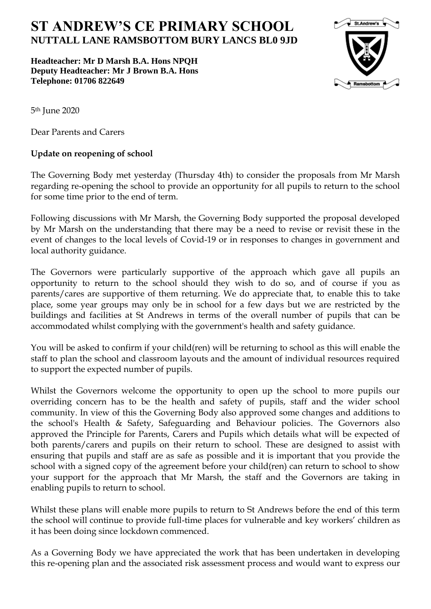## **ST ANDREW'S CE PRIMARY SCHOOL NUTTALL LANE RAMSBOTTOM BURY LANCS BL0 9JD**

**Headteacher: Mr D Marsh B.A. Hons NPQH Deputy Headteacher: Mr J Brown B.A. Hons Telephone: 01706 822649** 



5th June 2020

Dear Parents and Carers

## **Update on reopening of school**

The Governing Body met yesterday (Thursday 4th) to consider the proposals from Mr Marsh regarding re-opening the school to provide an opportunity for all pupils to return to the school for some time prior to the end of term.

Following discussions with Mr Marsh, the Governing Body supported the proposal developed by Mr Marsh on the understanding that there may be a need to revise or revisit these in the event of changes to the local levels of Covid-19 or in responses to changes in government and local authority guidance.

The Governors were particularly supportive of the approach which gave all pupils an opportunity to return to the school should they wish to do so, and of course if you as parents/cares are supportive of them returning. We do appreciate that, to enable this to take place, some year groups may only be in school for a few days but we are restricted by the buildings and facilities at St Andrews in terms of the overall number of pupils that can be accommodated whilst complying with the government's health and safety guidance.

You will be asked to confirm if your child(ren) will be returning to school as this will enable the staff to plan the school and classroom layouts and the amount of individual resources required to support the expected number of pupils.

Whilst the Governors welcome the opportunity to open up the school to more pupils our overriding concern has to be the health and safety of pupils, staff and the wider school community. In view of this the Governing Body also approved some changes and additions to the school's Health & Safety, Safeguarding and Behaviour policies. The Governors also approved the Principle for Parents, Carers and Pupils which details what will be expected of both parents/carers and pupils on their return to school. These are designed to assist with ensuring that pupils and staff are as safe as possible and it is important that you provide the school with a signed copy of the agreement before your child(ren) can return to school to show your support for the approach that Mr Marsh, the staff and the Governors are taking in enabling pupils to return to school.

Whilst these plans will enable more pupils to return to St Andrews before the end of this term the school will continue to provide full-time places for vulnerable and key workers' children as it has been doing since lockdown commenced.

As a Governing Body we have appreciated the work that has been undertaken in developing this re-opening plan and the associated risk assessment process and would want to express our